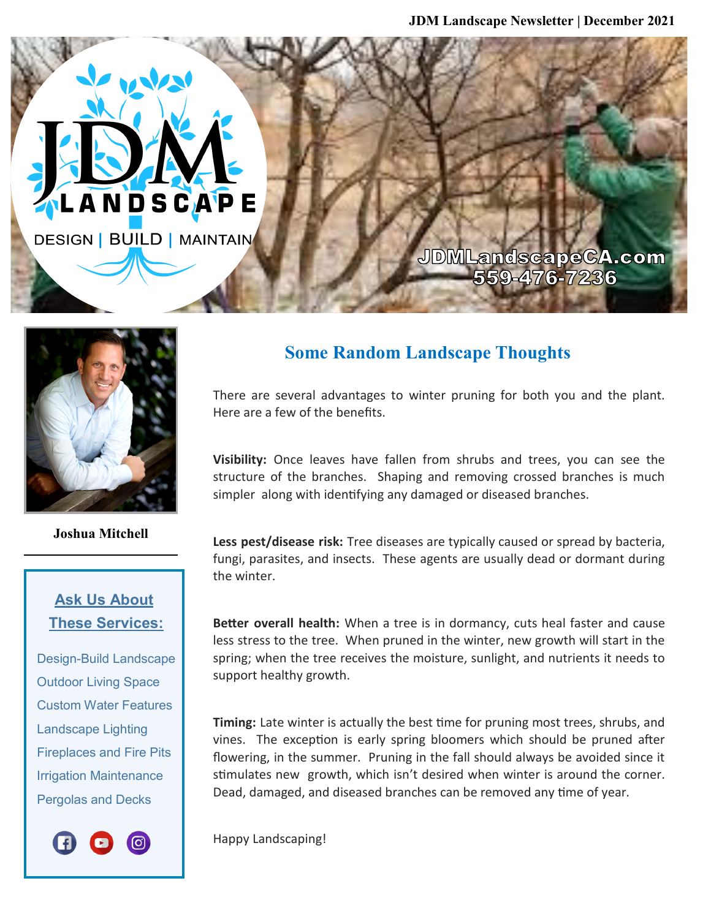JDMLandscapeCA.com 559-476-7236



LANDSCAPE

**DESIGN | BUILD | MAINTAIN** 

**Joshua Mitchell**

## **Ask Us About These Services:**

 Design-Build Landscape Outdoor Living Space Custom Water Features Landscape Lighting Fireplaces and Fire Pits Irrigation Maintenance Pergolas and Decks



## **Some Random Landscape Thoughts**

There are several advantages to winter pruning for both you and the plant. Here are a few of the benefits.

**Visibility:** Once leaves have fallen from shrubs and trees, you can see the structure of the branches. Shaping and removing crossed branches is much simpler along with identifying any damaged or diseased branches.

**Less pest/disease risk:** Tree diseases are typically caused or spread by bacteria, fungi, parasites, and insects. These agents are usually dead or dormant during the winter.

**Better overall health:** When a tree is in dormancy, cuts heal faster and cause less stress to the tree. When pruned in the winter, new growth will start in the spring; when the tree receives the moisture, sunlight, and nutrients it needs to support healthy growth.

**Timing:** Late winter is actually the best time for pruning most trees, shrubs, and vines. The exception is early spring bloomers which should be pruned after flowering, in the summer. Pruning in the fall should always be avoided since it stimulates new growth, which isn't desired when winter is around the corner. Dead, damaged, and diseased branches can be removed any time of year.

Happy Landscaping!